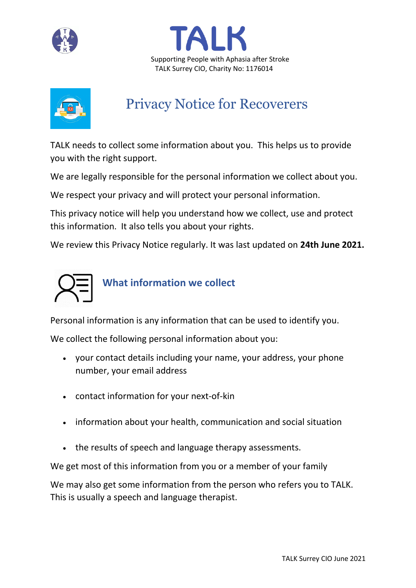





# Privacy Notice for Recoverers

TALK needs to collect some information about you. This helps us to provide you with the right support.

We are legally responsible for the personal information we collect about you.

We respect your privacy and will protect your personal information.

This privacy notice will help you understand how we collect, use and protect this information. It also tells you about your rights.

We review this Privacy Notice regularly. It was last updated on **24th June 2021.**



## **What information we collect**

Personal information is any information that can be used to identify you.

We collect the following personal information about you:

- your contact details including your name, your address, your phone number, your email address
- contact information for your next-of-kin
- information about your health, communication and social situation
- the results of speech and language therapy assessments.

We get most of this information from you or a member of your family

We may also get some information from the person who refers you to TALK. This is usually a speech and language therapist.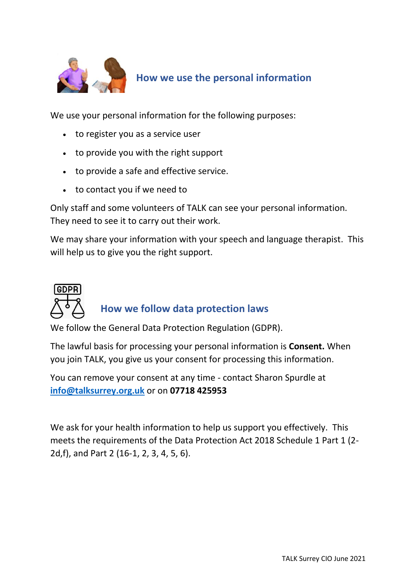

## **How we use the personal information**

We use your personal information for the following purposes:

- to register you as a service user
- to provide you with the right support
- to provide a safe and effective service.
- to contact you if we need to

Only staff and some volunteers of TALK can see your personal information. They need to see it to carry out their work.

We may share your information with your speech and language therapist. This will help us to give you the right support.



### **How we follow data protection laws**

We follow the General Data Protection Regulation (GDPR).

The lawful basis for processing your personal information is **Consent.** When you join TALK, you give us your consent for processing this information.

You can remove your consent at any time - contact Sharon Spurdle at **[info@talksurrey.org.uk](mailto:info@talksurrey.org.uk)** or on **07718 425953**

We ask for your health information to help us support you effectively. This meets the requirements of the Data Protection Act 2018 Schedule 1 Part 1 (2- 2d,f), and Part 2 (16-1, 2, 3, 4, 5, 6).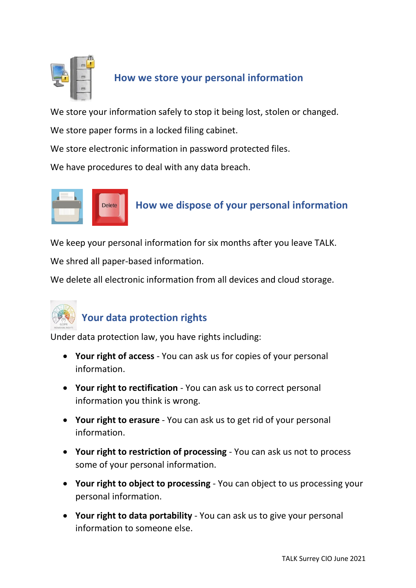

#### **How we store your personal information**

We store your information safely to stop it being lost, stolen or changed.

We store paper forms in a locked filing cabinet.

We store electronic information in password protected files.

We have procedures to deal with any data breach.



### **How we dispose of your personal information**

We keep your personal information for six months after you leave TALK.

We shred all paper-based information.

We delete all electronic information from all devices and cloud storage.



### **Your data protection rights**

Under data protection law, you have rights including:

- **Your right of access** You can ask us for copies of your personal information.
- **Your right to rectification** You can ask us to correct personal information you think is wrong.
- **Your right to erasure** You can ask us to get rid of your personal information.
- **Your right to restriction of processing** You can ask us not to process some of your personal information.
- **Your right to object to processing** You can object to us processing your personal information.
- **Your right to data portability** You can ask us to give your personal information to someone else.